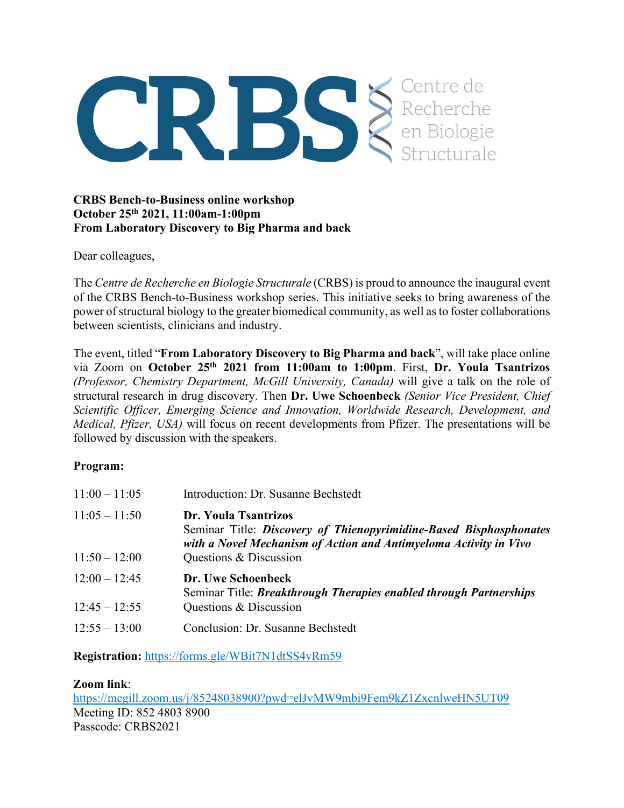

## **CRBS Bench-to-Business online workshop October 25th 2021, 11:00am-1:00pm From Laboratory Discovery to Big Pharma and back**

Dear colleagues,

The *Centre de Recherche en Biologie Structurale* (CRBS) is proud to announce the inaugural event of the CRBS Bench-to-Business workshop series. This initiative seeks to bring awareness of the power of structural biology to the greater biomedical community, as well as to foster collaborations between scientists, clinicians and industry.

The event, titled "**From Laboratory Discovery to Big Pharma and back**", will take place online via Zoom on **October 25th 2021 from 11:00am to 1:00pm**. First, **Dr. Youla Tsantrizos** *(Professor, Chemistry Department, McGill University, Canada)* will give a talk on the role of structural research in drug discovery. Then **Dr. Uwe Schoenbeck** *(Senior Vice President, Chief Scientific Officer, Emerging Science and Innovation, Worldwide Research, Development, and Medical, Pfizer, USA)* will focus on recent developments from Pfizer. The presentations will be followed by discussion with the speakers.

## **Program:**

| $11:00 - 11:05$                    | Introduction: Dr. Susanne Bechstedt                                                                                                                                                       |
|------------------------------------|-------------------------------------------------------------------------------------------------------------------------------------------------------------------------------------------|
| $11:05 - 11:50$<br>$11:50 - 12:00$ | Dr. Youla Tsantrizos<br>Seminar Title: Discovery of Thienopyrimidine-Based Bisphosphonates<br>with a Novel Mechanism of Action and Antimyeloma Activity in Vivo<br>Questions & Discussion |
| $12:00 - 12:45$<br>$12:45 - 12:55$ | Dr. Uwe Schoenbeck<br>Seminar Title: <i>Breakthrough Therapies enabled through Partnerships</i><br>Questions & Discussion                                                                 |
| $12:55 - 13:00$                    | Conclusion: Dr. Susanne Bechstedt                                                                                                                                                         |

**Registration:** <https://forms.gle/WBit7N1dtSS4vRm59>

## **Zoom link**:

<https://mcgill.zoom.us/j/85248038900?pwd=elJvMW9mbi9Fem9kZ1ZxcnlweHN5UT09> Meeting ID: 852 4803 8900 Passcode: CRBS2021